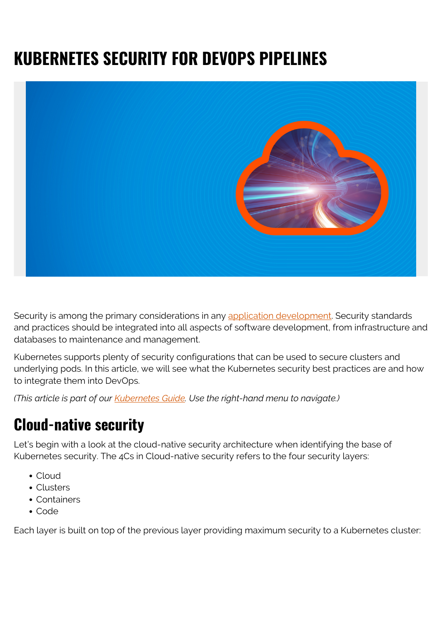# **KUBERNETES SECURITY FOR DEVOPS PIPELINES**



Security is among the primary considerations in any [application development.](https://blogs.bmc.com/blogs/sdlc-software-development-lifecycle/) Security standards and practices should be integrated into all aspects of software development, from infrastructure and databases to maintenance and management.

Kubernetes supports plenty of security configurations that can be used to secure clusters and underlying pods. In this article, we will see what the Kubernetes security best practices are and how to integrate them into DevOps.

*(This article is part of our [Kubernetes Guide](https://blogs.bmc.com/blogs/what-is-kubernetes/). Use the right-hand menu to navigate.)*

## **Cloud-native security**

Let's begin with a look at the cloud-native security architecture when identifying the base of Kubernetes security. The 4Cs in Cloud-native security refers to the four security layers:

- Cloud
- Clusters
- Containers
- Code

Each layer is built on top of the previous layer providing maximum security to a Kubernetes cluster: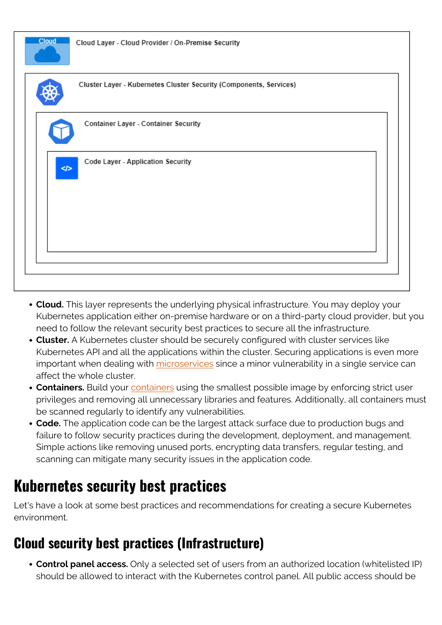

- **Cloud.** This layer represents the underlying physical infrastructure. You may deploy your Kubernetes application either on-premise hardware or on a third-party cloud provider, but you need to follow the relevant security best practices to secure all the infrastructure.
- **Cluster.** A Kubernetes cluster should be securely configured with cluster services like Kubernetes API and all the applications within the cluster. Securing applications is even more important when dealing with [microservices](https://blogs.bmc.com/blogs/microservices-architecture/) since a minor vulnerability in a single service can affect the whole cluster.
- **Containers.** Build your [containers](https://blogs.bmc.com/blogs/containers-vs-kubernetes/) using the smallest possible image by enforcing strict user privileges and removing all unnecessary libraries and features. Additionally, all containers must be scanned regularly to identify any vulnerabilities.
- **Code.** The application code can be the largest attack surface due to production bugs and failure to follow security practices during the development, deployment, and management. Simple actions like removing unused ports, encrypting data transfers, regular testing, and scanning can mitigate many security issues in the application code.

## **Kubernetes security best practices**

Let's have a look at some best practices and recommendations for creating a secure Kubernetes environment.

#### **Cloud security best practices (Infrastructure)**

**Control panel access.** Only a selected set of users from an authorized location (whitelisted IP) should be allowed to interact with the Kubernetes control panel. All public access should be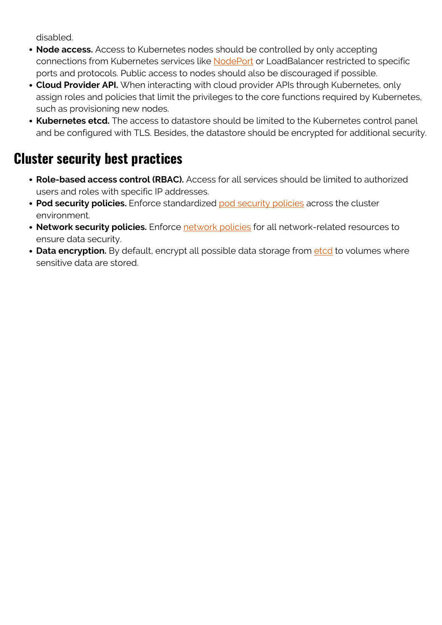disabled.

- **Node access.** Access to Kubernetes nodes should be controlled by only accepting connections from Kubernetes services like [NodePort](https://blogs.bmc.com/blogs/kubernetes-port-targetport-nodeport/) or LoadBalancer restricted to specific ports and protocols. Public access to nodes should also be discouraged if possible.
- **Cloud Provider API.** When interacting with cloud provider APIs through Kubernetes, only assign roles and policies that limit the privileges to the core functions required by Kubernetes, such as provisioning new nodes.
- **Kubernetes etcd.** The access to datastore should be limited to the Kubernetes control panel and be configured with TLS. Besides, the datastore should be encrypted for additional security.

#### **Cluster security best practices**

- **Role-based access control (RBAC).** Access for all services should be limited to authorized users and roles with specific IP addresses.
- **Pod security policies.** Enforce standardized [pod security policies](https://kubernetes.io/docs/concepts/policy/pod-security-policy/) across the cluster environment.
- **Network security policies.** Enforce [network policies](https://kubernetes.io/docs/concepts/services-networking/network-policies/) for all network-related resources to ensure data security.
- Data encryption. By default, encrypt all possible data storage from [etcd](https://kubernetes.io/docs/tasks/administer-cluster/encrypt-data/) to volumes where sensitive data are stored.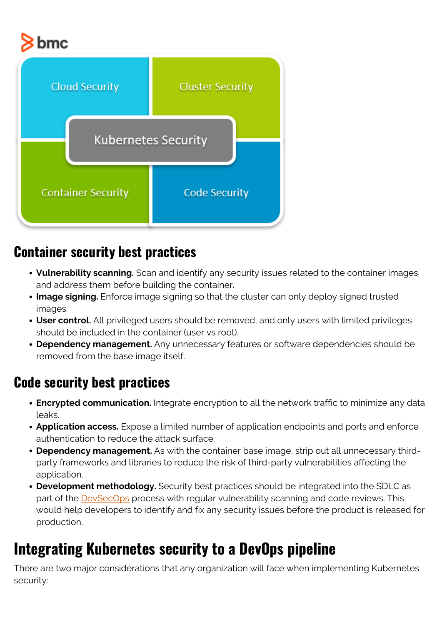# bmc



#### **Container security best practices**

- **Vulnerability scanning.** Scan and identify any security issues related to the container images and address them before building the container.
- **Image signing.** Enforce image signing so that the cluster can only deploy signed trusted images.
- **User control.** All privileged users should be removed, and only users with limited privileges should be included in the container (user vs root).
- **Dependency management.** Any unnecessary features or software dependencies should be removed from the base image itself.

#### **Code security best practices**

- **Encrypted communication.** Integrate encryption to all the network traffic to minimize any data leaks.
- **Application access.** Expose a limited number of application endpoints and ports and enforce authentication to reduce the attack surface.
- **Dependency management.** As with the container base image, strip out all unnecessary thirdparty frameworks and libraries to reduce the risk of third-party vulnerabilities affecting the application.
- **Development methodology.** Security best practices should be integrated into the SDLC as part of the **DevSecOps** process with regular vulnerability scanning and code reviews. This would help developers to identify and fix any security issues before the product is released for production.

## **Integrating Kubernetes security to a DevOps pipeline**

There are two major considerations that any organization will face when implementing Kubernetes security: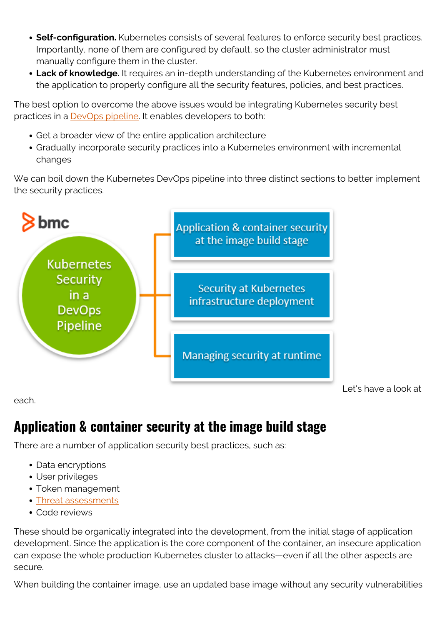- **Self-configuration.** Kubernetes consists of several features to enforce security best practices. Importantly, none of them are configured by default, so the cluster administrator must manually configure them in the cluster.
- **Lack of knowledge.** It requires an in-depth understanding of the Kubernetes environment and the application to properly configure all the security features, policies, and best practices.

The best option to overcome the above issues would be integrating Kubernetes security best practices in a **DevOps pipeline**. It enables developers to both:

- Get a broader view of the entire application architecture
- Gradually incorporate security practices into a Kubernetes environment with incremental changes

We can boil down the Kubernetes DevOps pipeline into three distinct sections to better implement the security practices.



each.

Let's have a look at

### **Application & container security at the image build stage**

There are a number of application security best practices, such as:

- Data encryptions
- User privileges
- Token management
- [Threat assessments](https://blogs.bmc.com/blogs/risk-assessment-vs-vulnerability-assessment/)
- Code reviews

These should be organically integrated into the development, from the initial stage of application development. Since the application is the core component of the container, an insecure application can expose the whole production Kubernetes cluster to attacks—even if all the other aspects are secure.

When building the container image, use an updated base image without any security vulnerabilities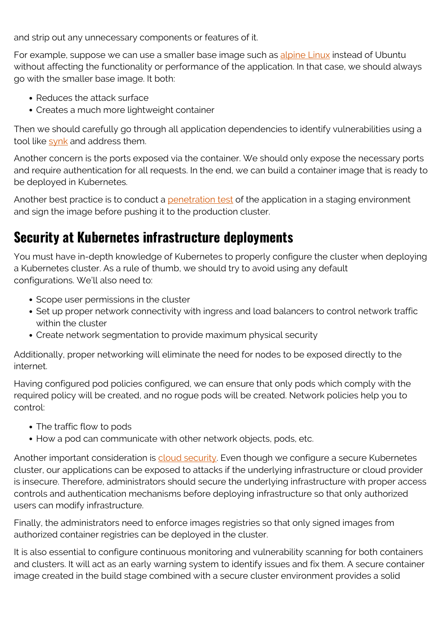and strip out any unnecessary components or features of it.

For example, suppose we can use a smaller base image such as [alpine Linux](https://alpinelinux.org/) instead of Ubuntu without affecting the functionality or performance of the application. In that case, we should always go with the smaller base image. It both:

- Reduces the attack surface
- Creates a much more lightweight container

Then we should carefully go through all application dependencies to identify vulnerabilities using a tool like [synk](https://snyk.io/) and address them.

Another concern is the ports exposed via the container. We should only expose the necessary ports and require authentication for all requests. In the end, we can build a container image that is ready to be deployed in Kubernetes.

Another best practice is to conduct a [penetration test](https://blogs.bmc.com/blogs/vulnerability-assessments-vs-penetration-tests/) of the application in a staging environment and sign the image before pushing it to the production cluster.

#### **Security at Kubernetes infrastructure deployments**

You must have in-depth knowledge of Kubernetes to properly configure the cluster when deploying a Kubernetes cluster. As a rule of thumb, we should try to avoid using any default configurations. We'll also need to:

- Scope user permissions in the cluster
- Set up proper network connectivity with ingress and load balancers to control network traffic within the cluster
- Create network segmentation to provide maximum physical security

Additionally, proper networking will eliminate the need for nodes to be exposed directly to the internet.

Having configured pod policies configured, we can ensure that only pods which comply with the required policy will be created, and no rogue pods will be created. Network policies help you to control:

- The traffic flow to pods
- How a pod can communicate with other network objects, pods, etc.

Another important consideration is [cloud security.](https://blogs.bmc.com/blogs/hybrid-cloud-security/) Even though we configure a secure Kubernetes cluster, our applications can be exposed to attacks if the underlying infrastructure or cloud provider is insecure. Therefore, administrators should secure the underlying infrastructure with proper access controls and authentication mechanisms before deploying infrastructure so that only authorized users can modify infrastructure.

Finally, the administrators need to enforce images registries so that only signed images from authorized container registries can be deployed in the cluster.

It is also essential to configure continuous monitoring and vulnerability scanning for both containers and clusters. It will act as an early warning system to identify issues and fix them. A secure container image created in the build stage combined with a secure cluster environment provides a solid